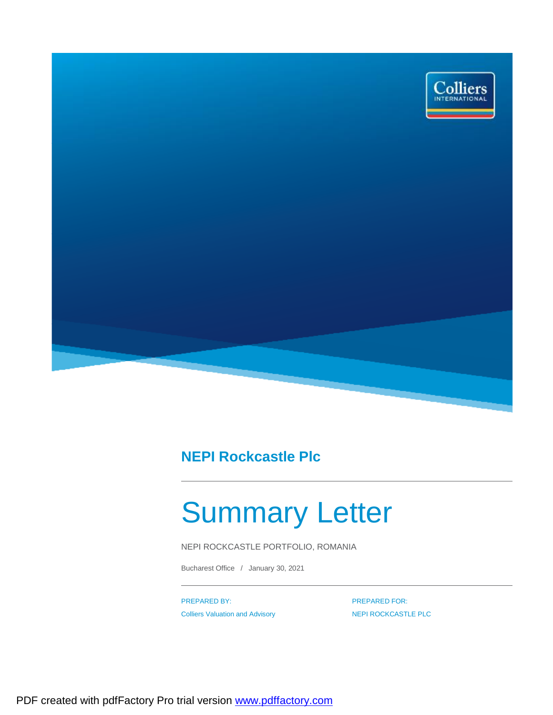

## **NEPI Rockcastle Plc**

# Summary Letter

NEPI ROCKCASTLE PORTFOLIO, ROMANIA

Bucharest Office / January 30, 2021

PREPARED BY: Colliers Valuation and Advisory

PREPARED FOR: NEPI ROCKCASTLE PLC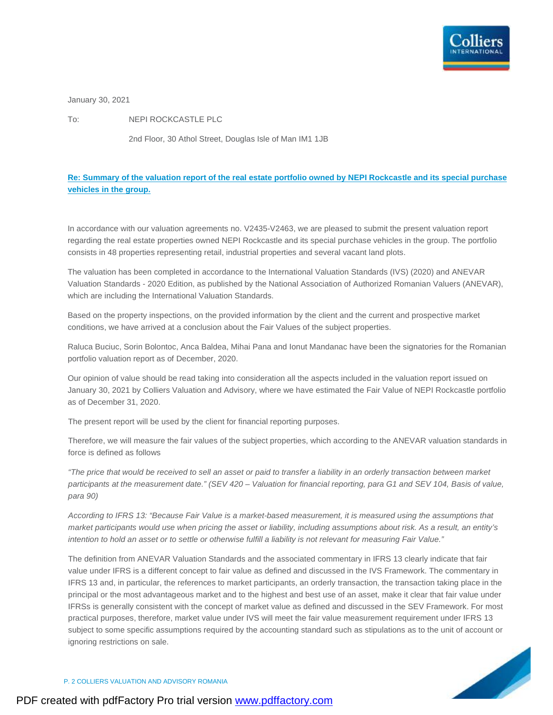

January 30, 2021

To: NEPI ROCKCASTLE PLC

2nd Floor, 30 Athol Street, Douglas Isle of Man IM1 1JB

#### **Re: Summary of the valuation report of the real estate portfolio owned by NEPI Rockcastle and its special purchase vehicles in the group.**

In accordance with our valuation agreements no. V2435-V2463, we are pleased to submit the present valuation report regarding the real estate properties owned NEPI Rockcastle and its special purchase vehicles in the group. The portfolio consists in 48 properties representing retail, industrial properties and several vacant land plots.

The valuation has been completed in accordance to the International Valuation Standards (IVS) (2020) and ANEVAR Valuation Standards - 2020 Edition, as published by the National Association of Authorized Romanian Valuers (ANEVAR), which are including the International Valuation Standards.

Based on the property inspections, on the provided information by the client and the current and prospective market conditions, we have arrived at a conclusion about the Fair Values of the subject properties.

Raluca Buciuc, Sorin Bolontoc, Anca Baldea, Mihai Pana and Ionut Mandanac have been the signatories for the Romanian portfolio valuation report as of December, 2020.

Our opinion of value should be read taking into consideration all the aspects included in the valuation report issued on January 30, 2021 by Colliers Valuation and Advisory, where we have estimated the Fair Value of NEPI Rockcastle portfolio as of December 31, 2020.

The present report will be used by the client for financial reporting purposes.

Therefore, we will measure the fair values of the subject properties, which according to the ANEVAR valuation standards in force is defined as follows

"The price that would be received to sell an asset or paid to transfer a liability in an orderly transaction between market *participants at the measurement date." (SEV 420 – Valuation for financial reporting, para G1 and SEV 104, Basis of value, para 90)* 

*According to IFRS 13: "Because Fair Value is a market-based measurement, it is measured using the assumptions that market participants would use when pricing the asset or liability, including assumptions about risk. As a result, an entity's intention to hold an asset or to settle or otherwise fulfill a liability is not relevant for measuring Fair Value."* 

The definition from ANEVAR Valuation Standards and the associated commentary in IFRS 13 clearly indicate that fair value under IFRS is a different concept to fair value as defined and discussed in the IVS Framework. The commentary in IFRS 13 and, in particular, the references to market participants, an orderly transaction, the transaction taking place in the principal or the most advantageous market and to the highest and best use of an asset, make it clear that fair value under IFRSs is generally consistent with the concept of market value as defined and discussed in the SEV Framework. For most practical purposes, therefore, market value under IVS will meet the fair value measurement requirement under IFRS 13 subject to some specific assumptions required by the accounting standard such as stipulations as to the unit of account or ignoring restrictions on sale.



P. 2 COLLIERS VALUATION AND ADVISORY ROMANIA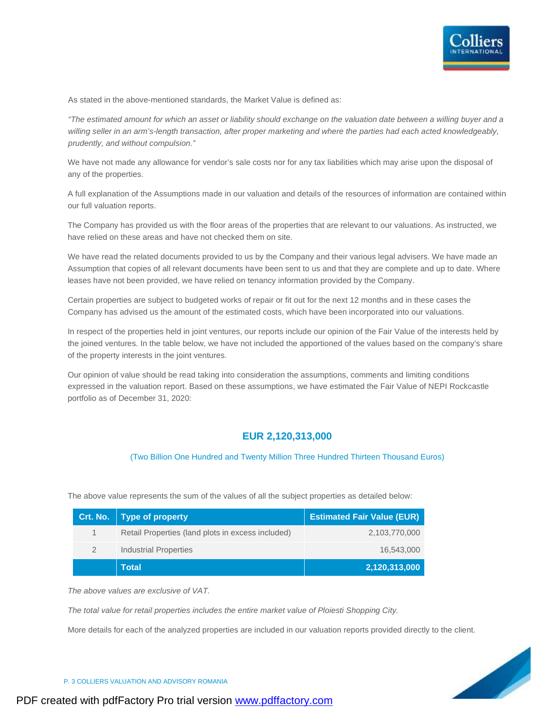

As stated in the above-mentioned standards, the Market Value is defined as:

"The estimated amount for which an asset or liability should exchange on the valuation date between a willing buyer and a *willing seller in an arm's-length transaction, after proper marketing and where the parties had each acted knowledgeably, prudently, and without compulsion."*

We have not made any allowance for vendor's sale costs nor for any tax liabilities which may arise upon the disposal of any of the properties.

A full explanation of the Assumptions made in our valuation and details of the resources of information are contained within our full valuation reports.

The Company has provided us with the floor areas of the properties that are relevant to our valuations. As instructed, we have relied on these areas and have not checked them on site.

We have read the related documents provided to us by the Company and their various legal advisers. We have made an Assumption that copies of all relevant documents have been sent to us and that they are complete and up to date. Where leases have not been provided, we have relied on tenancy information provided by the Company.

Certain properties are subject to budgeted works of repair or fit out for the next 12 months and in these cases the Company has advised us the amount of the estimated costs, which have been incorporated into our valuations.

In respect of the properties held in joint ventures, our reports include our opinion of the Fair Value of the interests held by the joined ventures. In the table below, we have not included the apportioned of the values based on the company's share of the property interests in the joint ventures.

Our opinion of value should be read taking into consideration the assumptions, comments and limiting conditions expressed in the valuation report. Based on these assumptions, we have estimated the Fair Value of NEPI Rockcastle portfolio as of December 31, 2020:

### **EUR 2,120,313,000**

#### (Two Billion One Hundred and Twenty Million Three Hundred Thirteen Thousand Euros)

The above value represents the sum of the values of all the subject properties as detailed below:

| Crt. No. | <b>Type of property</b>                           | <b>Estimated Fair Value (EUR)</b> |
|----------|---------------------------------------------------|-----------------------------------|
|          | Retail Properties (land plots in excess included) | 2,103,770,000                     |
| 2        | <b>Industrial Properties</b>                      | 16.543.000                        |
|          | <b>Total</b>                                      | 2,120,313,000                     |

*The above values are exclusive of VAT.* 

*The total value for retail properties includes the entire market value of Ploiesti Shopping City.* 

More details for each of the analyzed properties are included in our valuation reports provided directly to the client.



P. 3 COLLIERS VALUATION AND ADVISORY ROMANIA